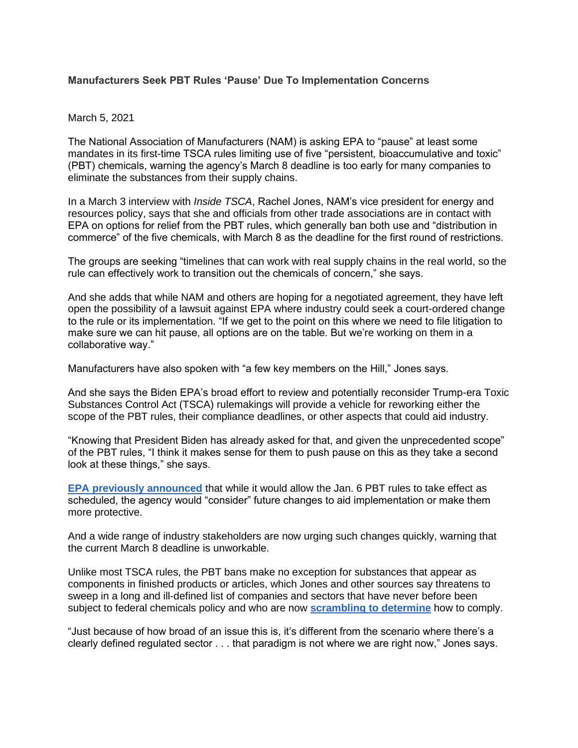## **Manufacturers Seek PBT Rules 'Pause' Due To Implementation Concerns**

## March 5, 2021

The National Association of Manufacturers (NAM) is asking EPA to "pause" at least some mandates in its first-time TSCA rules limiting use of five "persistent, bioaccumulative and toxic" (PBT) chemicals, warning the agency's March 8 deadline is too early for many companies to eliminate the substances from their supply chains.

In a March 3 interview with *Inside TSCA*, Rachel Jones, NAM's vice president for energy and resources policy, says that she and officials from other trade associations are in contact with EPA on options for relief from the PBT rules, which generally ban both use and "distribution in commerce" of the five chemicals, with March 8 as the deadline for the first round of restrictions.

The groups are seeking "timelines that can work with real supply chains in the real world, so the rule can effectively work to transition out the chemicals of concern," she says.

And she adds that while NAM and others are hoping for a negotiated agreement, they have left open the possibility of a lawsuit against EPA where industry could seek a court-ordered change to the rule or its implementation. "If we get to the point on this where we need to file litigation to make sure we can hit pause, all options are on the table. But we're working on them in a collaborative way."

Manufacturers have also spoken with "a few key members on the Hill," Jones says.

And she says the Biden EPA's broad effort to review and potentially reconsider Trump-era Toxic Substances Control Act (TSCA) rulemakings will provide a vehicle for reworking either the scope of the PBT rules, their compliance deadlines, or other aspects that could aid industry.

"Knowing that President Biden has already asked for that, and given the unprecedented scope" of the PBT rules, "I think it makes sense for them to push pause on this as they take a second look at these things," she says.

**EPA previously [announced](https://insideepa.com/node/228673)** that while it would allow the Jan. 6 PBT rules to take effect as scheduled, the agency would "consider" future changes to aid implementation or make them more protective.

And a wide range of industry stakeholders are now urging such changes quickly, warning that the current March 8 deadline is unworkable.

Unlike most TSCA rules, the PBT bans make no exception for substances that appear as components in finished products or articles, which Jones and other sources say threatens to sweep in a long and ill-defined list of companies and sectors that have never before been subject to federal chemicals policy and who are now **[scrambling](https://insideepa.com/node/229120) to determine** how to comply.

"Just because of how broad of an issue this is, it's different from the scenario where there's a clearly defined regulated sector . . . that paradigm is not where we are right now," Jones says.